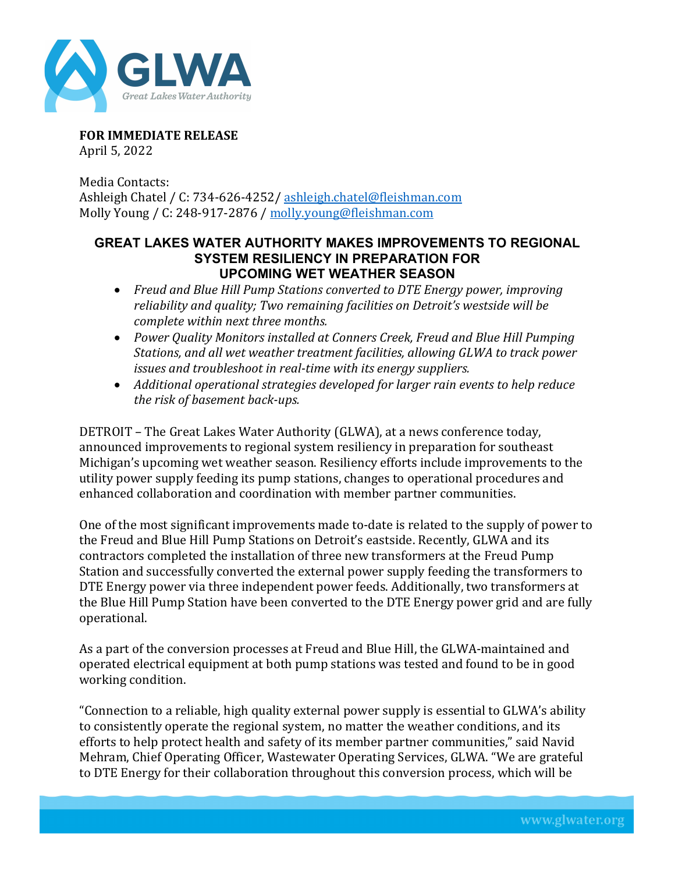

**FOR IMMEDIATE RELEASE** April 5, 2022

Media Contacts: Ashleigh Chatel / C: 734-626-4252/ [ashleigh.chatel@fleishman.com](mailto:ashleigh.chatel@fleishman.com) Molly Young / C: 248-917-2876 / [molly.young@fleishman.com](mailto:molly.young@fleishman.com)

## **GREAT LAKES WATER AUTHORITY MAKES IMPROVEMENTS TO REGIONAL SYSTEM RESILIENCY IN PREPARATION FOR UPCOMING WET WEATHER SEASON**

- *Freud and Blue Hill Pump Stations converted to DTE Energy power, improving reliability and quality; Two remaining facilities on Detroit's westside will be complete within next three months.*
- *Power Quality Monitors installed at Conners Creek, Freud and Blue Hill Pumping Stations, and all wet weather treatment facilities, allowing GLWA to track power issues and troubleshoot in real-time with its energy suppliers.*
- *Additional operational strategies developed for larger rain events to help reduce the risk of basement back-ups.*

DETROIT – The Great Lakes Water Authority (GLWA), at a news conference today, announced improvements to regional system resiliency in preparation for southeast Michigan's upcoming wet weather season. Resiliency efforts include improvements to the utility power supply feeding its pump stations, changes to operational procedures and enhanced collaboration and coordination with member partner communities.

One of the most significant improvements made to-date is related to the supply of power to the Freud and Blue Hill Pump Stations on Detroit's eastside. Recently, GLWA and its contractors completed the installation of three new transformers at the Freud Pump Station and successfully converted the external power supply feeding the transformers to DTE Energy power via three independent power feeds. Additionally, two transformers at the Blue Hill Pump Station have been converted to the DTE Energy power grid and are fully operational.

As a part of the conversion processes at Freud and Blue Hill, the GLWA-maintained and operated electrical equipment at both pump stations was tested and found to be in good working condition.

"Connection to a reliable, high quality external power supply is essential to GLWA's ability to consistently operate the regional system, no matter the weather conditions, and its efforts to help protect health and safety of its member partner communities," said Navid Mehram, Chief Operating Officer, Wastewater Operating Services, GLWA. "We are grateful to DTE Energy for their collaboration throughout this conversion process, which will be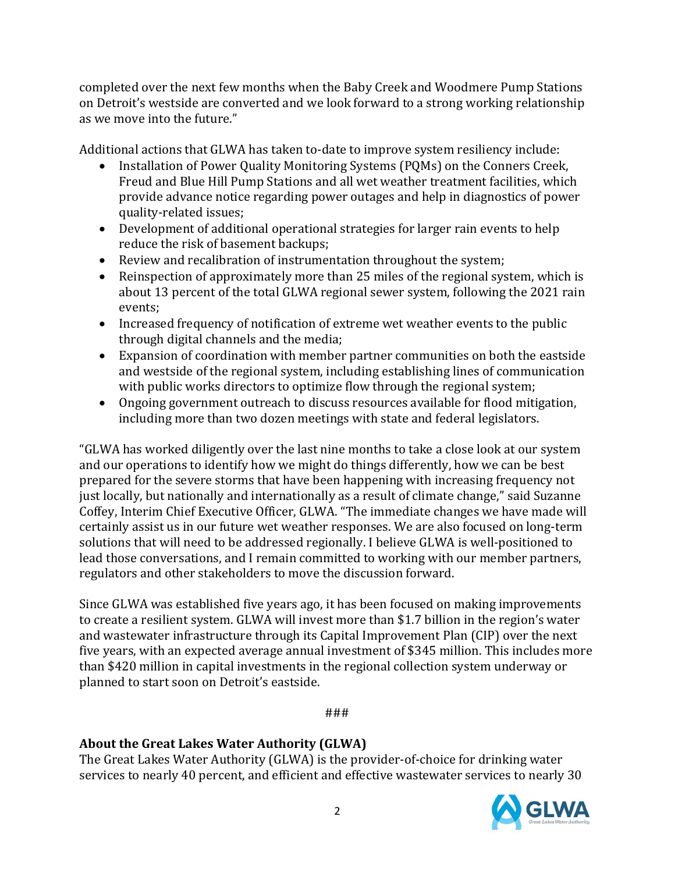completed over the next few months when the Baby Creek and Woodmere Pump Stations on Detroit's westside are converted and we look forward to a strong working relationship as we move into the future."

Additional actions that GLWA has taken to-date to improve system resiliency include:

- Installation of Power Quality Monitoring Systems (PQMs) on the Conners Creek, Freud and Blue Hill Pump Stations and all wet weather treatment facilities, which provide advance notice regarding power outages and help in diagnostics of power quality-related issues;
- Development of additional operational strategies for larger rain events to help reduce the risk of basement backups;
- Review and recalibration of instrumentation throughout the system;
- Reinspection of approximately more than 25 miles of the regional system, which is about 13 percent of the total GLWA regional sewer system, following the 2021 rain events;
- Increased frequency of notification of extreme wet weather events to the public through digital channels and the media;
- Expansion of coordination with member partner communities on both the eastside and westside of the regional system, including establishing lines of communication with public works directors to optimize flow through the regional system;
- Ongoing government outreach to discuss resources available for flood mitigation, including more than two dozen meetings with state and federal legislators.

"GLWA has worked diligently over the last nine months to take a close look at our system and our operations to identify how we might do things differently, how we can be best prepared for the severe storms that have been happening with increasing frequency not just locally, but nationally and internationally as a result of climate change," said Suzanne Coffey, Interim Chief Executive Officer, GLWA. "The immediate changes we have made will certainly assist us in our future wet weather responses. We are also focused on long-term solutions that will need to be addressed regionally. I believe GLWA is well-positioned to lead those conversations, and I remain committed to working with our member partners, regulators and other stakeholders to move the discussion forward.

Since GLWA was established five years ago, it has been focused on making improvements to create a resilient system. GLWA will invest more than \$1.7 billion in the region's water and wastewater infrastructure through its Capital Improvement Plan (CIP) over the next five years, with an expected average annual investment of \$345 million. This includes more than \$420 million in capital investments in the regional collection system underway or planned to start soon on Detroit's eastside.

###

## **About the Great Lakes Water Authority (GLWA)**

The Great Lakes Water Authority (GLWA) is the provider-of-choice for drinking water services to nearly 40 percent, and efficient and effective wastewater services to nearly 30